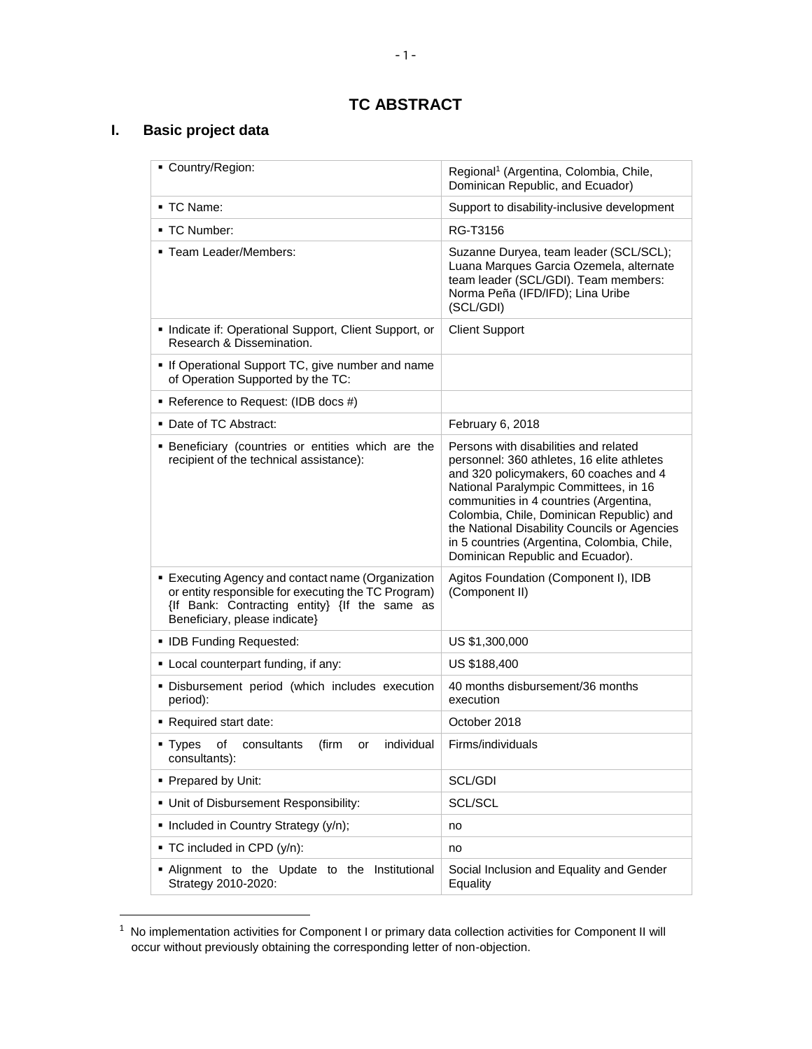# **TC ABSTRACT**

# **I. Basic project data**

l

| Country/Region:                                                                                                                                                                          | Regional <sup>1</sup> (Argentina, Colombia, Chile,<br>Dominican Republic, and Ecuador)                                                                                                                                                                                                                                                                                                          |
|------------------------------------------------------------------------------------------------------------------------------------------------------------------------------------------|-------------------------------------------------------------------------------------------------------------------------------------------------------------------------------------------------------------------------------------------------------------------------------------------------------------------------------------------------------------------------------------------------|
| - TC Name:                                                                                                                                                                               | Support to disability-inclusive development                                                                                                                                                                                                                                                                                                                                                     |
| ▪ TC Number:                                                                                                                                                                             | RG-T3156                                                                                                                                                                                                                                                                                                                                                                                        |
| " Team Leader/Members:                                                                                                                                                                   | Suzanne Duryea, team leader (SCL/SCL);<br>Luana Marques Garcia Ozemela, alternate<br>team leader (SCL/GDI). Team members:<br>Norma Peña (IFD/IFD); Lina Uribe<br>(SCL/GDI)                                                                                                                                                                                                                      |
| Indicate if: Operational Support, Client Support, or<br>Research & Dissemination.                                                                                                        | <b>Client Support</b>                                                                                                                                                                                                                                                                                                                                                                           |
| • If Operational Support TC, give number and name<br>of Operation Supported by the TC:                                                                                                   |                                                                                                                                                                                                                                                                                                                                                                                                 |
| ■ Reference to Request: (IDB docs #)                                                                                                                                                     |                                                                                                                                                                                                                                                                                                                                                                                                 |
| • Date of TC Abstract:                                                                                                                                                                   | February 6, 2018                                                                                                                                                                                                                                                                                                                                                                                |
| <b>Beneficiary (countries or entities which are the</b><br>recipient of the technical assistance):                                                                                       | Persons with disabilities and related<br>personnel: 360 athletes, 16 elite athletes<br>and 320 policymakers, 60 coaches and 4<br>National Paralympic Committees, in 16<br>communities in 4 countries (Argentina,<br>Colombia, Chile, Dominican Republic) and<br>the National Disability Councils or Agencies<br>in 5 countries (Argentina, Colombia, Chile,<br>Dominican Republic and Ecuador). |
| Executing Agency and contact name (Organization<br>or entity responsible for executing the TC Program)<br>{If Bank: Contracting entity} {If the same as<br>Beneficiary, please indicate} | Agitos Foundation (Component I), IDB<br>(Component II)                                                                                                                                                                                                                                                                                                                                          |
| • IDB Funding Requested:                                                                                                                                                                 | US \$1,300,000                                                                                                                                                                                                                                                                                                                                                                                  |
| • Local counterpart funding, if any:                                                                                                                                                     | US \$188,400                                                                                                                                                                                                                                                                                                                                                                                    |
| . Disbursement period (which includes execution<br>period):                                                                                                                              | 40 months disbursement/36 months<br>execution                                                                                                                                                                                                                                                                                                                                                   |
| • Required start date:                                                                                                                                                                   | October 2018                                                                                                                                                                                                                                                                                                                                                                                    |
| • Types<br>individual<br>οf<br>consultants<br>(firm<br>or<br>consultants):                                                                                                               | Firms/individuals                                                                                                                                                                                                                                                                                                                                                                               |
| • Prepared by Unit:                                                                                                                                                                      | SCL/GDI                                                                                                                                                                                                                                                                                                                                                                                         |
| • Unit of Disbursement Responsibility:                                                                                                                                                   | SCL/SCL                                                                                                                                                                                                                                                                                                                                                                                         |
| • Included in Country Strategy (y/n);                                                                                                                                                    | no                                                                                                                                                                                                                                                                                                                                                                                              |
| ■ TC included in CPD (y/n):                                                                                                                                                              | no                                                                                                                                                                                                                                                                                                                                                                                              |
| . Alignment to the Update to the Institutional<br>Strategy 2010-2020:                                                                                                                    | Social Inclusion and Equality and Gender<br>Equality                                                                                                                                                                                                                                                                                                                                            |

 $1$  No implementation activities for Component I or primary data collection activities for Component II will occur without previously obtaining the corresponding letter of non-objection.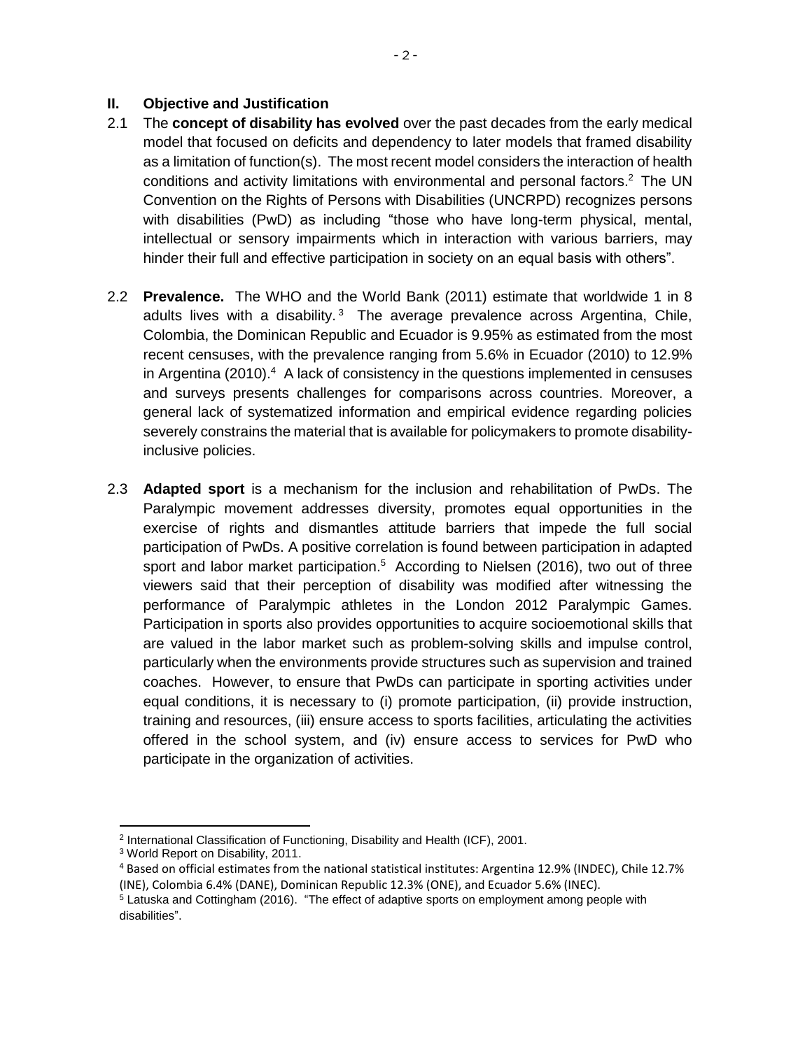#### **II. Objective and Justification**

- 2.1 The **concept of disability has evolved** over the past decades from the early medical model that focused on deficits and dependency to later models that framed disability as a limitation of function(s). The most recent model considers the interaction of health conditions and activity limitations with environmental and personal factors. <sup>2</sup> The UN Convention on the Rights of Persons with Disabilities (UNCRPD) recognizes persons with disabilities (PwD) as including "those who have long-term physical, mental, intellectual or sensory impairments which in interaction with various barriers, may hinder their full and effective participation in society on an equal basis with others".
- 2.2 **Prevalence.** The WHO and the World Bank (2011) estimate that worldwide 1 in 8 adults lives with a disability. $3$  The average prevalence across Argentina, Chile, Colombia, the Dominican Republic and Ecuador is 9.95% as estimated from the most recent censuses, with the prevalence ranging from 5.6% in Ecuador (2010) to 12.9% in Argentina (2010). $4$  A lack of consistency in the questions implemented in censuses and surveys presents challenges for comparisons across countries. Moreover, a general lack of systematized information and empirical evidence regarding policies severely constrains the material that is available for policymakers to promote disabilityinclusive policies.
- 2.3 **Adapted sport** is a mechanism for the inclusion and rehabilitation of PwDs. The Paralympic movement addresses diversity, promotes equal opportunities in the exercise of rights and dismantles attitude barriers that impede the full social participation of PwDs. A positive correlation is found between participation in adapted sport and labor market participation.<sup>5</sup> According to Nielsen (2016), two out of three viewers said that their perception of disability was modified after witnessing the performance of Paralympic athletes in the London 2012 Paralympic Games. Participation in sports also provides opportunities to acquire socioemotional skills that are valued in the labor market such as problem-solving skills and impulse control, particularly when the environments provide structures such as supervision and trained coaches. However, to ensure that PwDs can participate in sporting activities under equal conditions, it is necessary to (i) promote participation, (ii) provide instruction, training and resources, (iii) ensure access to sports facilities, articulating the activities offered in the school system, and (iv) ensure access to services for PwD who participate in the organization of activities.

 $\overline{\phantom{a}}$ 

<sup>&</sup>lt;sup>2</sup> International Classification of Functioning, Disability and Health (ICF), 2001.

<sup>3</sup> World Report on Disability, 2011.

<sup>4</sup> Based on official estimates from the national statistical institutes: Argentina 12.9% (INDEC), Chile 12.7% (INE), Colombia 6.4% (DANE), Dominican Republic 12.3% (ONE), and Ecuador 5.6% (INEC).

 $5$  Latuska and Cottingham (2016). "The effect of adaptive sports on employment among people with disabilities".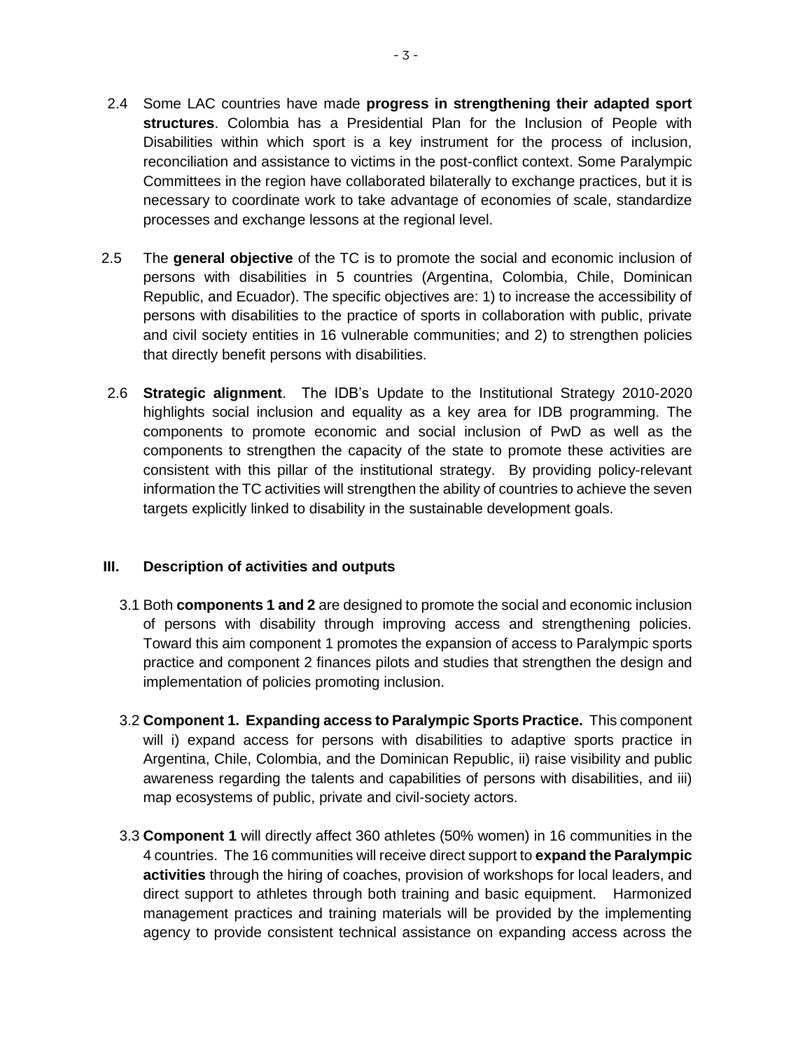- 2.4 Some LAC countries have made **progress in strengthening their adapted sport structures**. Colombia has a Presidential Plan for the Inclusion of People with Disabilities within which sport is a key instrument for the process of inclusion, reconciliation and assistance to victims in the post-conflict context. Some Paralympic Committees in the region have collaborated bilaterally to exchange practices, but it is necessary to coordinate work to take advantage of economies of scale, standardize processes and exchange lessons at the regional level.
- 2.5 The **general objective** of the TC is to promote the social and economic inclusion of persons with disabilities in 5 countries (Argentina, Colombia, Chile, Dominican Republic, and Ecuador). The specific objectives are: 1) to increase the accessibility of persons with disabilities to the practice of sports in collaboration with public, private and civil society entities in 16 vulnerable communities; and 2) to strengthen policies that directly benefit persons with disabilities.
- 2.6 **Strategic alignment**. The IDB's Update to the Institutional Strategy 2010-2020 highlights social inclusion and equality as a key area for IDB programming. The components to promote economic and social inclusion of PwD as well as the components to strengthen the capacity of the state to promote these activities are consistent with this pillar of the institutional strategy. By providing policy-relevant information the TC activities will strengthen the ability of countries to achieve the seven targets explicitly linked to disability in the sustainable development goals.

#### **III. Description of activities and outputs**

- 3.1 Both **components 1 and 2** are designed to promote the social and economic inclusion of persons with disability through improving access and strengthening policies. Toward this aim component 1 promotes the expansion of access to Paralympic sports practice and component 2 finances pilots and studies that strengthen the design and implementation of policies promoting inclusion.
- 3.2 **Component 1. Expanding access to Paralympic Sports Practice.** This component will i) expand access for persons with disabilities to adaptive sports practice in Argentina, Chile, Colombia, and the Dominican Republic, ii) raise visibility and public awareness regarding the talents and capabilities of persons with disabilities, and iii) map ecosystems of public, private and civil-society actors.
- 3.3 **Component 1** will directly affect 360 athletes (50% women) in 16 communities in the 4 countries. The 16 communities will receive direct support to **expand the Paralympic activities** through the hiring of coaches, provision of workshops for local leaders, and direct support to athletes through both training and basic equipment. Harmonized management practices and training materials will be provided by the implementing agency to provide consistent technical assistance on expanding access across the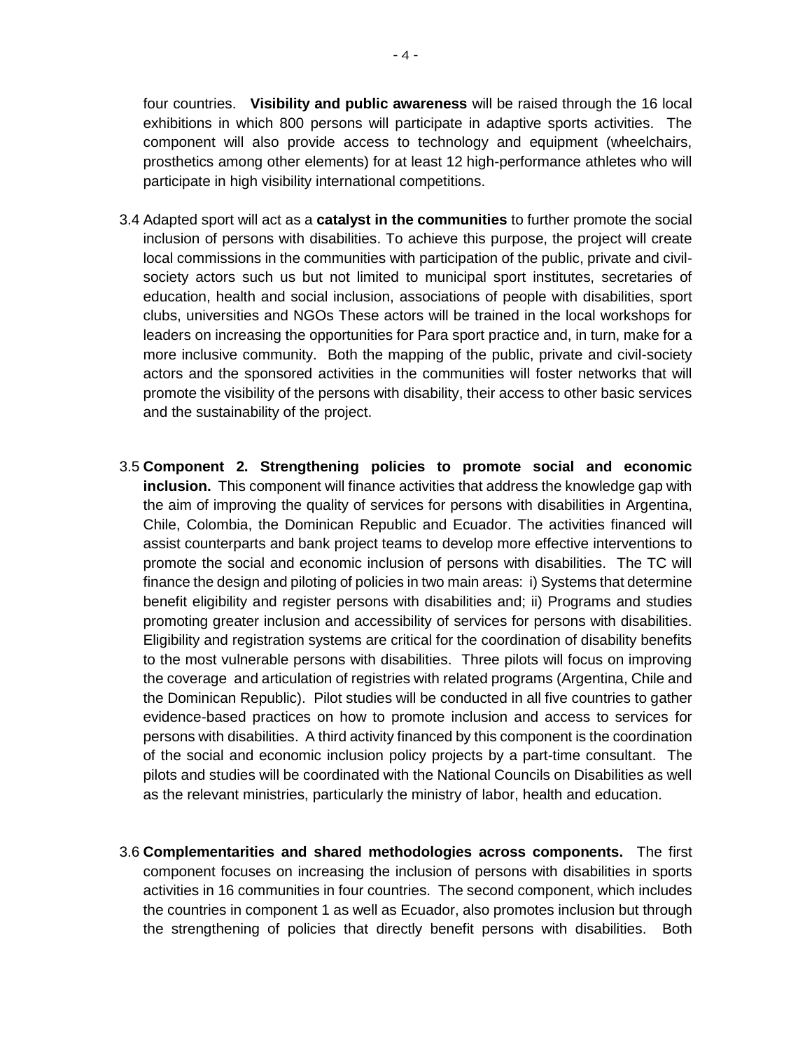four countries. **Visibility and public awareness** will be raised through the 16 local exhibitions in which 800 persons will participate in adaptive sports activities. The component will also provide access to technology and equipment (wheelchairs, prosthetics among other elements) for at least 12 high-performance athletes who will participate in high visibility international competitions.

- 3.4 Adapted sport will act as a **catalyst in the communities** to further promote the social inclusion of persons with disabilities. To achieve this purpose, the project will create local commissions in the communities with participation of the public, private and civilsociety actors such us but not limited to municipal sport institutes, secretaries of education, health and social inclusion, associations of people with disabilities, sport clubs, universities and NGOs These actors will be trained in the local workshops for leaders on increasing the opportunities for Para sport practice and, in turn, make for a more inclusive community. Both the mapping of the public, private and civil-society actors and the sponsored activities in the communities will foster networks that will promote the visibility of the persons with disability, their access to other basic services and the sustainability of the project.
- 3.5 **Component 2. Strengthening policies to promote social and economic inclusion.** This component will finance activities that address the knowledge gap with the aim of improving the quality of services for persons with disabilities in Argentina, Chile, Colombia, the Dominican Republic and Ecuador. The activities financed will assist counterparts and bank project teams to develop more effective interventions to promote the social and economic inclusion of persons with disabilities. The TC will finance the design and piloting of policies in two main areas: i) Systems that determine benefit eligibility and register persons with disabilities and; ii) Programs and studies promoting greater inclusion and accessibility of services for persons with disabilities. Eligibility and registration systems are critical for the coordination of disability benefits to the most vulnerable persons with disabilities. Three pilots will focus on improving the coverage and articulation of registries with related programs (Argentina, Chile and the Dominican Republic). Pilot studies will be conducted in all five countries to gather evidence-based practices on how to promote inclusion and access to services for persons with disabilities. A third activity financed by this component is the coordination of the social and economic inclusion policy projects by a part-time consultant. The pilots and studies will be coordinated with the National Councils on Disabilities as well as the relevant ministries, particularly the ministry of labor, health and education.
- 3.6 **Complementarities and shared methodologies across components.** The first component focuses on increasing the inclusion of persons with disabilities in sports activities in 16 communities in four countries. The second component, which includes the countries in component 1 as well as Ecuador, also promotes inclusion but through the strengthening of policies that directly benefit persons with disabilities. Both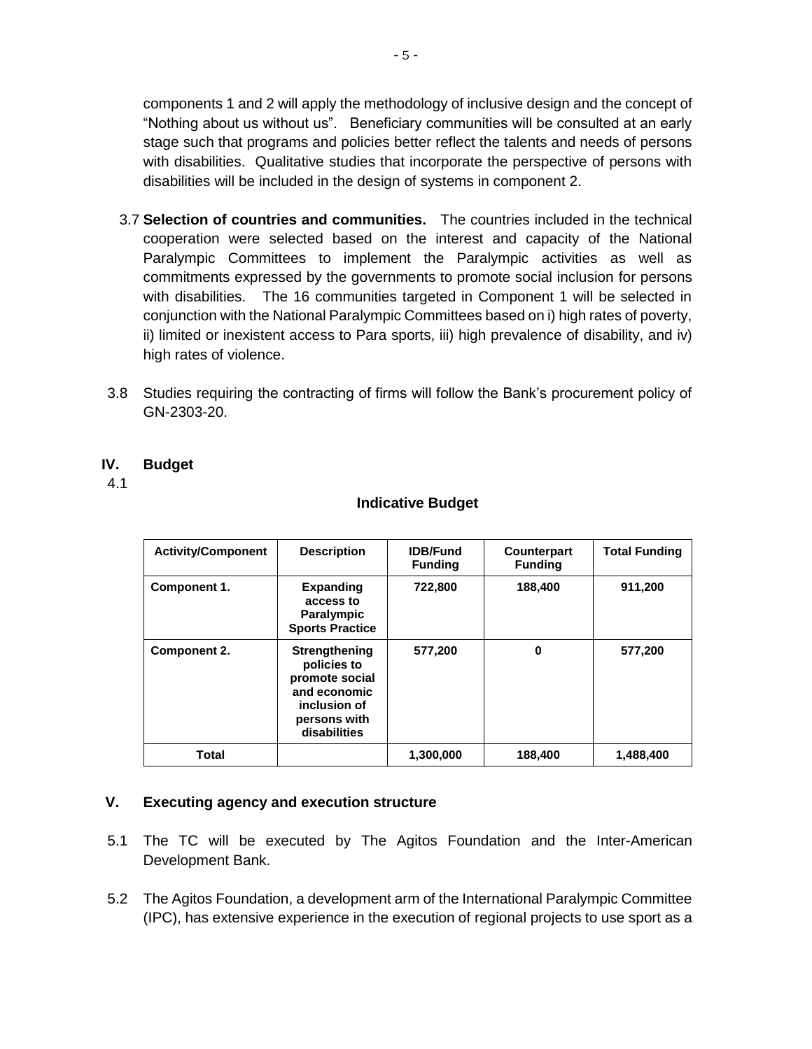components 1 and 2 will apply the methodology of inclusive design and the concept of "Nothing about us without us". Beneficiary communities will be consulted at an early stage such that programs and policies better reflect the talents and needs of persons with disabilities. Qualitative studies that incorporate the perspective of persons with disabilities will be included in the design of systems in component 2.

- 3.7 **Selection of countries and communities.** The countries included in the technical cooperation were selected based on the interest and capacity of the National Paralympic Committees to implement the Paralympic activities as well as commitments expressed by the governments to promote social inclusion for persons with disabilities. The 16 communities targeted in Component 1 will be selected in conjunction with the National Paralympic Committees based on i) high rates of poverty, ii) limited or inexistent access to Para sports, iii) high prevalence of disability, and iv) high rates of violence.
- 3.8 Studies requiring the contracting of firms will follow the Bank's procurement policy of GN-2303-20.

#### **IV. Budget**

4.1

#### **Indicative Budget**

| <b>Activity/Component</b> | <b>Description</b>                                                                                                    | <b>IDB/Fund</b><br><b>Funding</b> | Counterpart<br><b>Funding</b> | <b>Total Funding</b> |
|---------------------------|-----------------------------------------------------------------------------------------------------------------------|-----------------------------------|-------------------------------|----------------------|
| Component 1.              | <b>Expanding</b><br>access to<br><b>Paralympic</b><br><b>Sports Practice</b>                                          | 722,800                           | 188,400                       | 911,200              |
| <b>Component 2.</b>       | <b>Strengthening</b><br>policies to<br>promote social<br>and economic<br>inclusion of<br>persons with<br>disabilities | 577,200                           | 0                             | 577,200              |
| Total                     |                                                                                                                       | 1,300,000                         | 188,400                       | 1,488,400            |

#### **V. Executing agency and execution structure**

- 5.1 The TC will be executed by The Agitos Foundation and the Inter-American Development Bank.
- 5.2 The Agitos Foundation, a development arm of the International Paralympic Committee (IPC), has extensive experience in the execution of regional projects to use sport as a